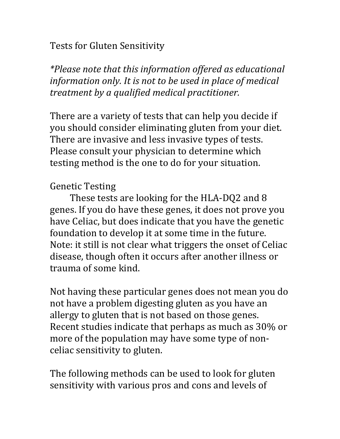**Tests for Gluten Sensitivity** 

\*Please note that this information offered as educational information only. It is not to be used in place of medical treatment by a qualified medical practitioner.

There are a variety of tests that can help you decide if you should consider eliminating gluten from your diet. There are invasive and less invasive types of tests. Please consult your physician to determine which testing method is the one to do for your situation.

# **Genetic Testing**

These tests are looking for the HLA-DQ2 and 8 genes. If you do have these genes, it does not prove you have Celiac, but does indicate that you have the genetic foundation to develop it at some time in the future. Note: it still is not clear what triggers the onset of Celiac disease, though often it occurs after another illness or trauma of some kind.

Not having these particular genes does not mean you do not have a problem digesting gluten as you have an allergy to gluten that is not based on those genes. Recent studies indicate that perhaps as much as 30% or more of the population may have some type of nonceliac sensitivity to gluten.

The following methods can be used to look for gluten sensitivity with various pros and cons and levels of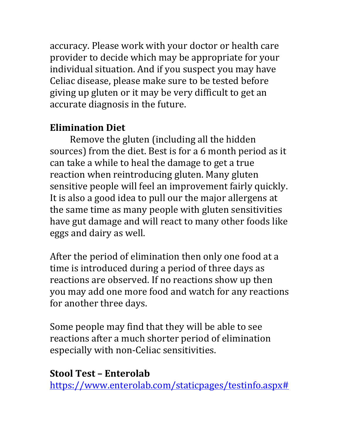accuracy. Please work with your doctor or health care provider to decide which may be appropriate for your individual situation. And if you suspect you may have Celiac disease, please make sure to be tested before giving up gluten or it may be very difficult to get an accurate diagnosis in the future.

# **Elimination Diet**

Remove the gluten (including all the hidden sources) from the diet. Best is for a 6 month period as it can take a while to heal the damage to get a true reaction when reintroducing gluten. Many gluten sensitive people will feel an improvement fairly quickly. It is also a good idea to pull our the major allergens at the same time as many people with gluten sensitivities have gut damage and will react to many other foods like eggs and dairy as well.

After the period of elimination then only one food at a time is introduced during a period of three days as reactions are observed. If no reactions show up then you may add one more food and watch for any reactions for another three days.

Some people may find that they will be able to see reactions after a much shorter period of elimination especially with non-Celiac sensitivities.

## **Stool Test - Enterolab**

https://www.enterolab.com/staticpages/testinfo.aspx#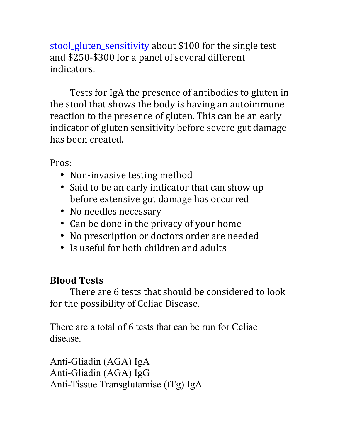stool gluten sensitivity about \$100 for the single test and \$250-\$300 for a panel of several different indicators.

Tests for IgA the presence of antibodies to gluten in the stool that shows the body is having an autoimmune reaction to the presence of gluten. This can be an early indicator of gluten sensitivity before severe gut damage has been created.

Pros:

- Non-invasive testing method
- Said to be an early indicator that can show up before extensive gut damage has occurred
- No needles necessary
- Can be done in the privacy of your home
- No prescription or doctors order are needed
- Is useful for both children and adults

# **Blood Tests**

There are 6 tests that should be considered to look for the possibility of Celiac Disease.

There are a total of 6 tests that can be run for Celiac disease.

Anti-Gliadin (AGA) IgA Anti-Gliadin (AGA) IgG Anti-Tissue Transglutamise (tTg) IgA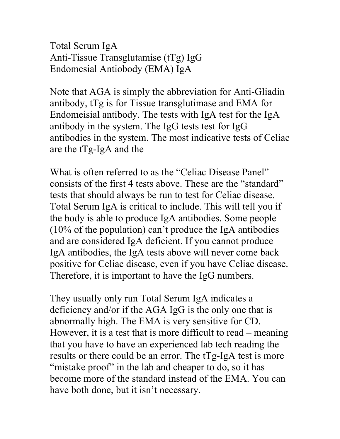Total Serum IgA Anti-Tissue Transglutamise (tTg) IgG Endomesial Antiobody (EMA) IgA

Note that AGA is simply the abbreviation for Anti-Gliadin antibody, tTg is for Tissue transglutimase and EMA for Endomeisial antibody. The tests with IgA test for the IgA antibody in the system. The IgG tests test for IgG antibodies in the system. The most indicative tests of Celiac are the tTg-IgA and the

What is often referred to as the "Celiac Disease Panel" consists of the first 4 tests above. These are the "standard" tests that should always be run to test for Celiac disease. Total Serum IgA is critical to include. This will tell you if the body is able to produce IgA antibodies. Some people (10% of the population) can't produce the IgA antibodies and are considered IgA deficient. If you cannot produce IgA antibodies, the IgA tests above will never come back positive for Celiac disease, even if you have Celiac disease. Therefore, it is important to have the IgG numbers.

They usually only run Total Serum IgA indicates a deficiency and/or if the AGA IgG is the only one that is abnormally high. The EMA is very sensitive for CD. However, it is a test that is more difficult to read – meaning that you have to have an experienced lab tech reading the results or there could be an error. The tTg-IgA test is more "mistake proof" in the lab and cheaper to do, so it has become more of the standard instead of the EMA. You can have both done, but it isn't necessary.